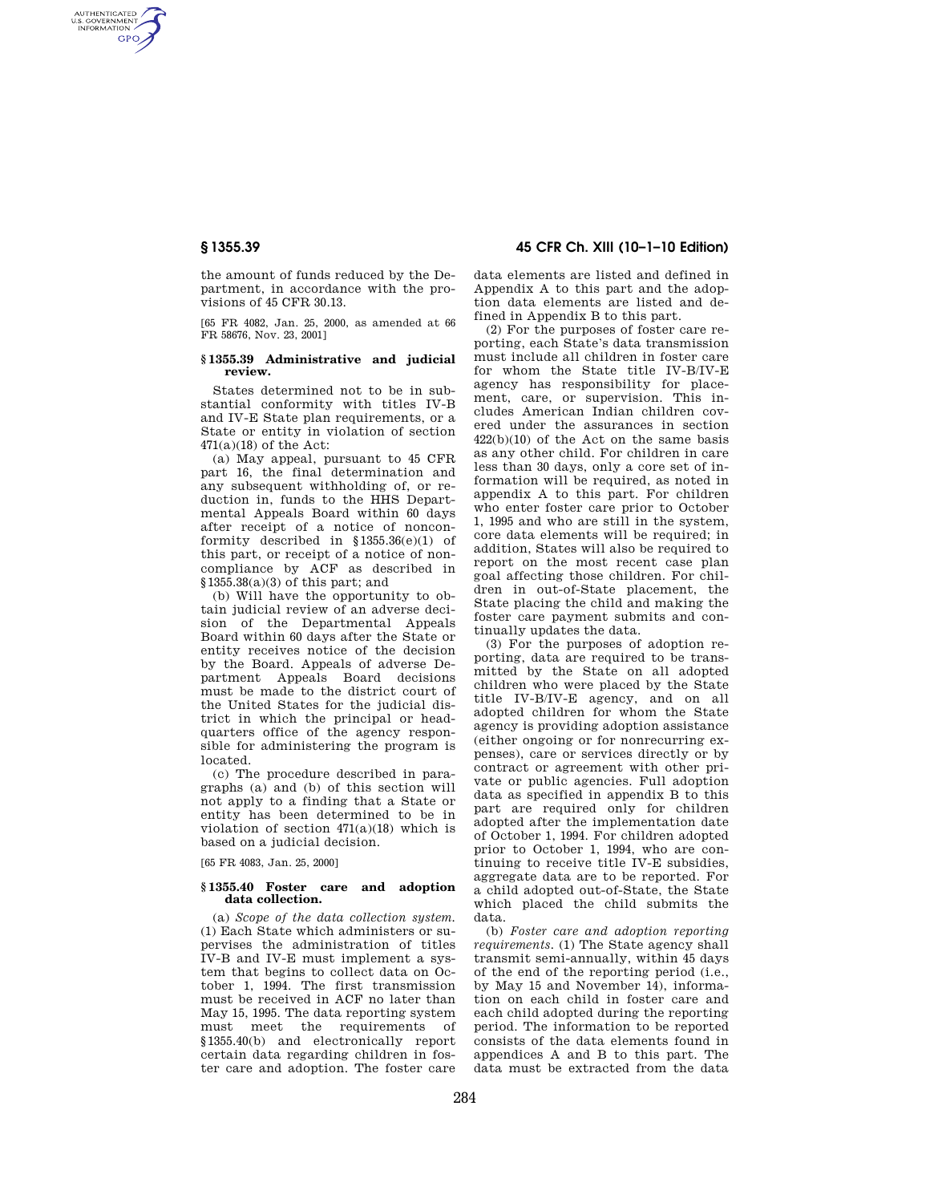AUTHENTICATED<br>U.S. GOVERNMENT<br>INFORMATION **GPO** 

> the amount of funds reduced by the Department, in accordance with the pro- $\overline{v}$  isions of 45 CFR 30.13.

> [65 FR 4082, Jan. 25, 2000, as amended at 66 FR 58676, Nov. 23, 2001]

## **§ 1355.39 Administrative and judicial review.**

States determined not to be in substantial conformity with titles IV-B and IV-E State plan requirements, or a State or entity in violation of section 471(a)(18) of the Act:

(a) May appeal, pursuant to 45 CFR part 16, the final determination and any subsequent withholding of, or reduction in, funds to the HHS Departmental Appeals Board within 60 days after receipt of a notice of nonconformity described in §1355.36(e)(1) of this part, or receipt of a notice of noncompliance by ACF as described in  $$1355.38(a)(3)$  of this part; and

(b) Will have the opportunity to obtain judicial review of an adverse decision of the Departmental Appeals Board within 60 days after the State or entity receives notice of the decision by the Board. Appeals of adverse Department Appeals Board decisions must be made to the district court of the United States for the judicial district in which the principal or headquarters office of the agency responsible for administering the program is located.

(c) The procedure described in paragraphs (a) and (b) of this section will not apply to a finding that a State or entity has been determined to be in violation of section  $471(a)(18)$  which is based on a judicial decision.

[65 FR 4083, Jan. 25, 2000]

## **§ 1355.40 Foster care and adoption data collection.**

(a) *Scope of the data collection system.*  (1) Each State which administers or supervises the administration of titles IV-B and IV-E must implement a system that begins to collect data on October 1, 1994. The first transmission must be received in ACF no later than May 15, 1995. The data reporting system must meet the requirements of §1355.40(b) and electronically report certain data regarding children in foster care and adoption. The foster care

# **§ 1355.39 45 CFR Ch. XIII (10–1–10 Edition)**

data elements are listed and defined in Appendix A to this part and the adoption data elements are listed and defined in Appendix B to this part.

(2) For the purposes of foster care reporting, each State's data transmission must include all children in foster care for whom the State title IV-B/IV-E agency has responsibility for placement, care, or supervision. This includes American Indian children covered under the assurances in section 422(b)(10) of the Act on the same basis as any other child. For children in care less than 30 days, only a core set of information will be required, as noted in appendix A to this part. For children who enter foster care prior to October 1, 1995 and who are still in the system, core data elements will be required; in addition, States will also be required to report on the most recent case plan goal affecting those children. For children in out-of-State placement, the State placing the child and making the foster care payment submits and continually updates the data.

(3) For the purposes of adoption reporting, data are required to be transmitted by the State on all adopted children who were placed by the State title IV-B/IV-E agency, and on all adopted children for whom the State agency is providing adoption assistance (either ongoing or for nonrecurring expenses), care or services directly or by contract or agreement with other private or public agencies. Full adoption data as specified in appendix B to this part are required only for children adopted after the implementation date of October 1, 1994. For children adopted prior to October 1, 1994, who are continuing to receive title IV-E subsidies, aggregate data are to be reported. For a child adopted out-of-State, the State which placed the child submits the data.

(b) *Foster care and adoption reporting requirements.* (1) The State agency shall transmit semi-annually, within 45 days of the end of the reporting period (i.e., by May 15 and November 14), information on each child in foster care and each child adopted during the reporting period. The information to be reported consists of the data elements found in appendices A and B to this part. The data must be extracted from the data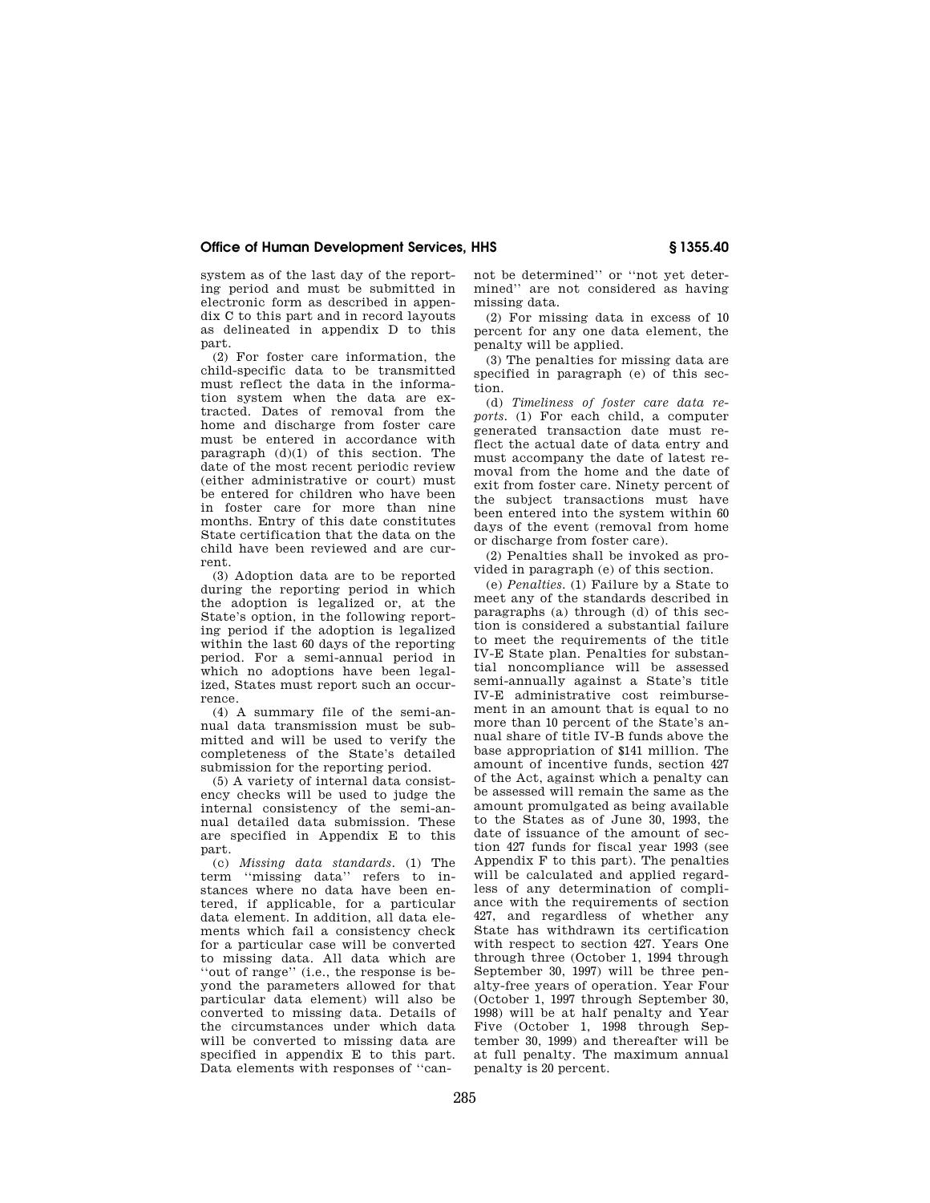# **Office of Human Development Services, HHS § 1355.40**

system as of the last day of the reporting period and must be submitted in electronic form as described in appendix C to this part and in record layouts as delineated in appendix D to this part.

(2) For foster care information, the child-specific data to be transmitted must reflect the data in the information system when the data are extracted. Dates of removal from the home and discharge from foster care must be entered in accordance with paragraph  $(d)(1)$  of this section. The date of the most recent periodic review (either administrative or court) must be entered for children who have been in foster care for more than nine months. Entry of this date constitutes State certification that the data on the child have been reviewed and are current.

(3) Adoption data are to be reported during the reporting period in which the adoption is legalized or, at the State's option, in the following reporting period if the adoption is legalized within the last 60 days of the reporting period. For a semi-annual period in which no adoptions have been legalized, States must report such an occurrence.

(4) A summary file of the semi-annual data transmission must be submitted and will be used to verify the completeness of the State's detailed submission for the reporting period.

(5) A variety of internal data consistency checks will be used to judge the internal consistency of the semi-annual detailed data submission. These are specified in Appendix E to this part.

(c) *Missing data standards.* (1) The term ''missing data'' refers to instances where no data have been entered, if applicable, for a particular data element. In addition, all data elements which fail a consistency check for a particular case will be converted to missing data. All data which are ''out of range'' (i.e., the response is beyond the parameters allowed for that particular data element) will also be converted to missing data. Details of the circumstances under which data will be converted to missing data are specified in appendix E to this part. Data elements with responses of ''cannot be determined'' or ''not yet determined'' are not considered as having missing data.

(2) For missing data in excess of 10 percent for any one data element, the penalty will be applied.

(3) The penalties for missing data are specified in paragraph (e) of this section.

(d) *Timeliness of foster care data reports.* (1) For each child, a computer generated transaction date must reflect the actual date of data entry and must accompany the date of latest removal from the home and the date of exit from foster care. Ninety percent of the subject transactions must have been entered into the system within 60 days of the event (removal from home or discharge from foster care).

(2) Penalties shall be invoked as provided in paragraph (e) of this section.

(e) *Penalties.* (1) Failure by a State to meet any of the standards described in paragraphs (a) through (d) of this section is considered a substantial failure to meet the requirements of the title IV-E State plan. Penalties for substantial noncompliance will be assessed semi-annually against a State's title IV-E administrative cost reimbursement in an amount that is equal to no more than 10 percent of the State's annual share of title IV-B funds above the base appropriation of \$141 million. The amount of incentive funds, section 427 of the Act, against which a penalty can be assessed will remain the same as the amount promulgated as being available to the States as of June 30, 1993, the date of issuance of the amount of section 427 funds for fiscal year 1993 (see Appendix F to this part). The penalties will be calculated and applied regardless of any determination of compliance with the requirements of section 427, and regardless of whether any State has withdrawn its certification with respect to section 427. Years One through three (October 1, 1994 through September 30, 1997) will be three penalty-free years of operation. Year Four (October 1, 1997 through September 30, 1998) will be at half penalty and Year Five (October 1, 1998 through September 30, 1999) and thereafter will be at full penalty. The maximum annual penalty is 20 percent.